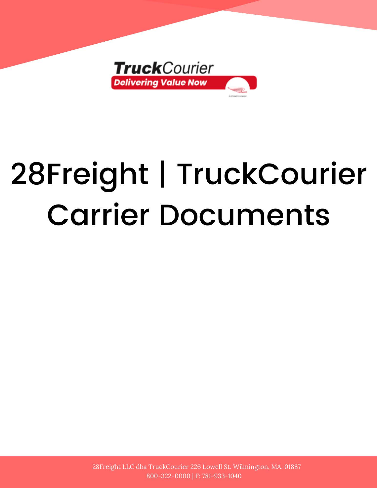

# 28Freight | TruckCourier **Carrier Documents**

28Freight LLC dba TruckCourier 226 Lowell St. Wilmington, MA. 01887 800-322-0000 | F: 781-933-1040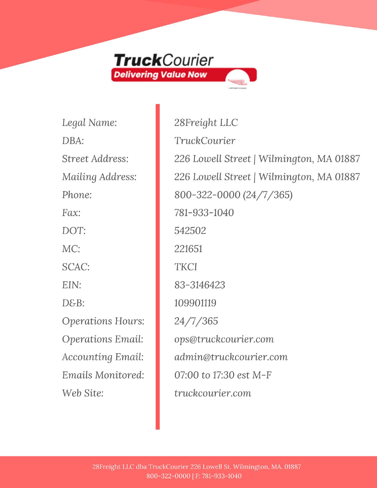

Legal Name: DBA: Street Address: Mailing Address: Phone:  $Fax$ : DOT: MC: SCAC: EIN:  $D\mathcal{E}$ -B: **Operations Hours: Operations Email: Accounting Email:** Emails Monitored: Web Site:

28Freight LLC TruckCourier 226 Lowell Street | Wilmington, MA 01887 226 Lowell Street | Wilmington, MA 01887 800-322-0000 (24/7/365) 781-933-1040 542502 221651 **TKCI** 83-3146423 109901119  $24/7/365$ ops@truckcourier.com admin@truckcourier.com 07:00 to 17:30 est M-F truckcourier.com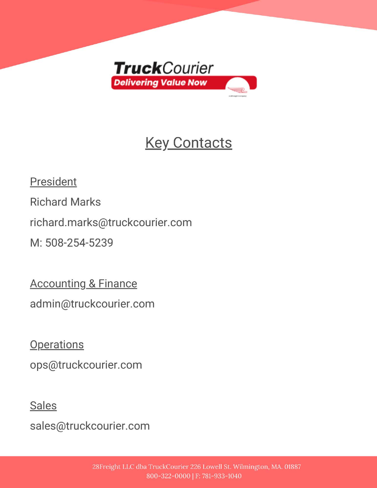

## **Key Contacts**

President

**Richard Marks** 

richard.marks@truckcourier.com

M: 508-254-5239

**Accounting & Finance** 

admin@truckcourier.com

**Operations** 

ops@truckcourier.com

**Sales** 

sales@truckcourier.com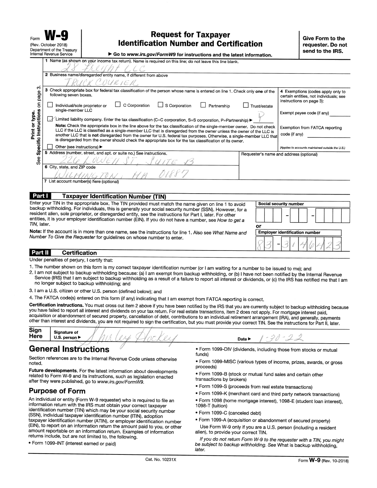| Form |                             |                            |
|------|-----------------------------|----------------------------|
|      | (Rev. October 2018)         |                            |
|      | فاستره المستحددها المستقفعا | Department of the Treasury |

#### **Request for Taxpayer Identification Number and Certification**

 $\mathbf{A}$  , and the second  $\mathbf{F}$  , and  $\mathbf{H}$   $\mathbf{A}$  ,  $\mathbf{A}$  ,  $\mathbf{A}$  ,  $\mathbf{A}$  ,  $\mathbf{A}$  ,  $\mathbf{A}$  ,  $\mathbf{A}$  ,  $\mathbf{A}$  ,  $\mathbf{A}$  ,  $\mathbf{A}$  ,  $\mathbf{A}$  ,  $\mathbf{A}$  ,  $\mathbf{A}$  ,  $\mathbf{A}$  ,  $\mathbf{A}$  ,  $\mathbf{A$ 

|                                                                                                                                                                                                                                                                                                                                                                                                                                                          | הוכחומו וכיכוועס טפו ווטפ                |                               |                                                                     | ► Go to www.irs.gov/Formw9 for instructions and the latest information.                                                                                                                                                                                                                                                                                                                                                                                                            |             |              |                                                                                                         |
|----------------------------------------------------------------------------------------------------------------------------------------------------------------------------------------------------------------------------------------------------------------------------------------------------------------------------------------------------------------------------------------------------------------------------------------------------------|------------------------------------------|-------------------------------|---------------------------------------------------------------------|------------------------------------------------------------------------------------------------------------------------------------------------------------------------------------------------------------------------------------------------------------------------------------------------------------------------------------------------------------------------------------------------------------------------------------------------------------------------------------|-------------|--------------|---------------------------------------------------------------------------------------------------------|
|                                                                                                                                                                                                                                                                                                                                                                                                                                                          |                                          |                               |                                                                     | 1 Name (as shown on your income tax return). Name is required on this line; do not leave this line blank.                                                                                                                                                                                                                                                                                                                                                                          |             |              |                                                                                                         |
|                                                                                                                                                                                                                                                                                                                                                                                                                                                          |                                          |                               | 2 Business name/disregarded entity name, if different from above    |                                                                                                                                                                                                                                                                                                                                                                                                                                                                                    |             |              |                                                                                                         |
|                                                                                                                                                                                                                                                                                                                                                                                                                                                          |                                          |                               | COURIER                                                             |                                                                                                                                                                                                                                                                                                                                                                                                                                                                                    |             |              |                                                                                                         |
| ∞<br>page                                                                                                                                                                                                                                                                                                                                                                                                                                                | 3<br>following seven boxes.              |                               |                                                                     | Check appropriate box for federal tax classification of the person whose name is entered on line 1. Check only one of the                                                                                                                                                                                                                                                                                                                                                          |             |              | 4 Exemptions (codes apply only to<br>certain entities, not individuals; see<br>instructions on page 3): |
| $\mathsf{S}% _{T}=\mathsf{S}_{T}\!\left( a,b\right) ,\ \mathsf{S}_{T}=\mathsf{S}_{T}\!\left( a,b\right) ,\ \mathsf{S}_{T}=\mathsf{S}_{T}\!\left( a,b\right) ,\ \mathsf{S}_{T}=\mathsf{S}_{T}\!\left( a,b\right) ,\ \mathsf{S}_{T}=\mathsf{S}_{T}\!\left( a,b\right) ,\ \mathsf{S}_{T}=\mathsf{S}_{T}\!\left( a,b\right) ,\ \mathsf{S}_{T}=\mathsf{S}_{T}\!\left( a,b\right) ,\ \mathsf{S}_{T}=\mathsf{S}_{T}\!\left( a,b\right) ,\ \mathsf{S}_{T}=\math$ | single-member LLC                        | Individual/sole proprietor or | C Corporation                                                       | $\Box$ S Corporation                                                                                                                                                                                                                                                                                                                                                                                                                                                               | Partnership | Trust/estate | Exempt payee code (if any)                                                                              |
|                                                                                                                                                                                                                                                                                                                                                                                                                                                          | $\mathbf{b}$                             |                               |                                                                     | Limited liability company. Enter the tax classification (C=C corporation, S=S corporation, P=Partnership) >                                                                                                                                                                                                                                                                                                                                                                        |             |              |                                                                                                         |
| Instructions<br>Print or type.                                                                                                                                                                                                                                                                                                                                                                                                                           |                                          |                               |                                                                     | Note: Check the appropriate box in the line above for the tax classification of the single-member owner. Do not check<br>LLC if the LLC is classified as a single-member LLC that is disregarded from the owner unless the owner of the LLC is<br>another LLC that is not disregarded from the owner for U.S. federal tax purposes. Otherwise, a single-member LLC that<br>is disregarded from the owner should check the appropriate box for the tax classification of its owner. |             |              | Exemption from FATCA reporting<br>code (if any)                                                         |
| Specific                                                                                                                                                                                                                                                                                                                                                                                                                                                 | Other (see instructions) ▶               |                               |                                                                     |                                                                                                                                                                                                                                                                                                                                                                                                                                                                                    |             |              | (Applies to accounts maintained outside the U.S.)                                                       |
| See                                                                                                                                                                                                                                                                                                                                                                                                                                                      | 6 City, state, and ZIP code              |                               | 5 Address (number, street, and apt. or suite no.) See instructions. |                                                                                                                                                                                                                                                                                                                                                                                                                                                                                    |             |              | Requester's name and address (optional)                                                                 |
|                                                                                                                                                                                                                                                                                                                                                                                                                                                          |                                          |                               |                                                                     |                                                                                                                                                                                                                                                                                                                                                                                                                                                                                    |             |              |                                                                                                         |
|                                                                                                                                                                                                                                                                                                                                                                                                                                                          | 7 List account number(s) here (optional) |                               |                                                                     |                                                                                                                                                                                                                                                                                                                                                                                                                                                                                    |             |              |                                                                                                         |
| Part I                                                                                                                                                                                                                                                                                                                                                                                                                                                   |                                          |                               | <b>Taxpayer Identification Number (TIN)</b>                         |                                                                                                                                                                                                                                                                                                                                                                                                                                                                                    |             |              |                                                                                                         |
|                                                                                                                                                                                                                                                                                                                                                                                                                                                          |                                          |                               |                                                                     | Enter your TIN in the appropriate box. The TIN provided must match the name given on line 1 to avoid                                                                                                                                                                                                                                                                                                                                                                               |             |              | Social security number                                                                                  |
|                                                                                                                                                                                                                                                                                                                                                                                                                                                          |                                          |                               |                                                                     | backup withholding. For individuals, this is generally your social security number (SSN). However, for a                                                                                                                                                                                                                                                                                                                                                                           |             |              |                                                                                                         |

resident alien, sole proprietor, or disregarded entity, see the instructions for Part I, later. For other entities, it is your employer identification number (EIN). If you do not have a number, see How to get a TIN. later.

| o٢<br><b>Employer identification number</b> | Social security number |  |  |
|---------------------------------------------|------------------------|--|--|
|                                             |                        |  |  |
|                                             |                        |  |  |
|                                             |                        |  |  |

Note: If the account is in more than one name, see the instructions for line 1. Also see What Name and Number To Give the Requester for guidelines on whose number to enter.

#### **Certification Part II**

Under penalties of perjury, I certify that:

- 1. The number shown on this form is my correct taxpayer identification number (or I am waiting for a number to be issued to me); and
- 2. I am not subject to backup withholding because: (a) I am exempt from backup withholding, or (b) I have not been notified by the Internal Revenue Service (IRS) that I am subject to backup withholding as a result of a failure to report all interest or dividends, or (c) the IRS has notified me that I am no longer subject to backup withholding; and
- 3. I am a U.S. citizen or other U.S. person (defined below); and
- 4. The FATCA code(s) entered on this form (if any) indicating that I am exempt from FATCA reporting is correct.

Certification instructions. You must cross out item 2 above if you have been notified by the IRS that you are currently subject to backup withholding because you have failed to report all interest and dividends on your tax return. For real estate transactions, item 2 does not apply. For mortgage interest paid, acquisition or abandonment of secured property, cancellation of debt, contributions to an individual retirement arrangement (IRA), and generally, payments other than interest and dividends, you are not required to sign the certification, but you must provide your correct TIN. See the instructions for Part II, later.

| Sign<br>Here | <b>Signature of</b><br>U.S. person $\blacktriangleright$ |  |  | Date I |  |
|--------------|----------------------------------------------------------|--|--|--------|--|
|              |                                                          |  |  |        |  |

#### **General Instructions**

Section references are to the Internal Revenue Code unless otherwise noted.

Future developments. For the latest information about developments related to Form W-9 and its instructions, such as legislation enacted after they were published, go to www.irs.gov/FormW9.

#### **Purpose of Form**

An individual or entity (Form W-9 requester) who is required to file an information return with the IRS must obtain your correct taxpayer identification number (TIN) which may be your social security number (SSN), individual taxpayer identification number (ITIN), adoption taxpayer identification number (ATIN), or employer identification number (EIN), to report on an information return the amount paid to you, or other amount reportable on an information return. Examples of information returns include, but are not limited to, the following.

· Form 1099-INT (interest earned or paid)

- · Form 1099-DIV (dividends, including those from stocks or mutual funds)
- · Form 1099-MISC (various types of income, prizes, awards, or gross proceeds)
- · Form 1099-B (stock or mutual fund sales and certain other transactions by brokers)
- · Form 1099-S (proceeds from real estate transactions)
- Form 1099-K (merchant card and third party network transactions)
- · Form 1098 (home mortgage interest), 1098-E (student loan interest), 1098-T (tuition)
- · Form 1099-C (canceled debt)
- Form 1099-A (acquisition or abandonment of secured property)

Use Form W-9 only if you are a U.S. person (including a resident alien), to provide your correct TIN.

If you do not return Form W-9 to the requester with a TIN, you might be subject to backup withholding. See What is backup withholding, later.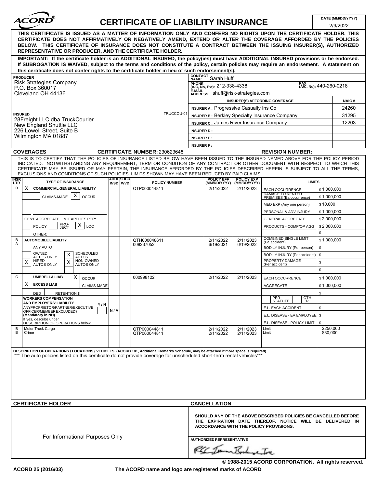| ACORD |  |
|-------|--|
|       |  |

### **CERTIFICATE OF LIABILITY INSURANCE DATE (MM/DD/YYYY)**

|                |                                                                                                                                                                                                                                                                                                                                                                                                                                                                                                    |                  |                                      |                                                       |                        |                                                                                                                            | 2/9/2022                |
|----------------|----------------------------------------------------------------------------------------------------------------------------------------------------------------------------------------------------------------------------------------------------------------------------------------------------------------------------------------------------------------------------------------------------------------------------------------------------------------------------------------------------|------------------|--------------------------------------|-------------------------------------------------------|------------------------|----------------------------------------------------------------------------------------------------------------------------|-------------------------|
|                | THIS CERTIFICATE IS ISSUED AS A MATTER OF INFORMATION ONLY AND CONFERS NO RIGHTS UPON THE CERTIFICATE HOLDER. THIS<br>CERTIFICATE DOES NOT AFFIRMATIVELY OR NEGATIVELY AMEND, EXTEND OR ALTER THE COVERAGE AFFORDED BY THE POLICIES<br>BELOW. THIS CERTIFICATE OF INSURANCE DOES NOT CONSTITUTE A CONTRACT BETWEEN THE ISSUING INSURER(S), AUTHORIZED<br>REPRESENTATIVE OR PRODUCER, AND THE CERTIFICATE HOLDER.                                                                                   |                  |                                      |                                                       |                        |                                                                                                                            |                         |
|                | IMPORTANT: If the certificate holder is an ADDITIONAL INSURED, the policy(ies) must have ADDITIONAL INSURED provisions or be endorsed.                                                                                                                                                                                                                                                                                                                                                             |                  |                                      |                                                       |                        |                                                                                                                            |                         |
|                | If SUBROGATION IS WAIVED, subject to the terms and conditions of the policy, certain policies may require an endorsement. A statement on                                                                                                                                                                                                                                                                                                                                                           |                  |                                      |                                                       |                        |                                                                                                                            |                         |
|                | this certificate does not confer rights to the certificate holder in lieu of such endorsement(s).                                                                                                                                                                                                                                                                                                                                                                                                  |                  |                                      | <b>CONTACT</b>                                        |                        |                                                                                                                            |                         |
|                | <b>PRODUCER</b><br><b>Risk Strategies Company</b>                                                                                                                                                                                                                                                                                                                                                                                                                                                  |                  |                                      | Sarah Huff<br>NAME:                                   |                        | <b>FAX</b>                                                                                                                 |                         |
|                | P.O. Box 360017                                                                                                                                                                                                                                                                                                                                                                                                                                                                                    |                  |                                      | PHONE<br>(A/C, No, Ext): 212-338-4338                 |                        |                                                                                                                            | (A/C, No): 440-260-0218 |
|                | Cleveland OH 44136                                                                                                                                                                                                                                                                                                                                                                                                                                                                                 |                  |                                      | E-MAIL<br>ADDRESS: shuff@risk-strategies.com          |                        |                                                                                                                            |                         |
|                |                                                                                                                                                                                                                                                                                                                                                                                                                                                                                                    |                  |                                      |                                                       |                        | <b>INSURER(S) AFFORDING COVERAGE</b>                                                                                       | <b>NAIC#</b>            |
|                |                                                                                                                                                                                                                                                                                                                                                                                                                                                                                                    |                  |                                      | <b>INSURER A: Progressive Casualty Ins Co</b>         |                        |                                                                                                                            | 24260                   |
| <b>INSURED</b> |                                                                                                                                                                                                                                                                                                                                                                                                                                                                                                    |                  | TRUCCOU-01                           | <b>INSURER B: Berkley Specialty Insurance Company</b> |                        |                                                                                                                            | 31295                   |
|                | 28Freight LLC dba TruckCourier<br>New England Shuttle LLC                                                                                                                                                                                                                                                                                                                                                                                                                                          |                  |                                      | <b>INSURER C: James River Insurance Company</b>       |                        |                                                                                                                            | 12203                   |
|                | 226 Lowell Street, Suite B                                                                                                                                                                                                                                                                                                                                                                                                                                                                         |                  |                                      | <b>INSURER D:</b>                                     |                        |                                                                                                                            |                         |
|                | Wilmington MA 01887                                                                                                                                                                                                                                                                                                                                                                                                                                                                                |                  |                                      | <b>INSURER E:</b>                                     |                        |                                                                                                                            |                         |
|                |                                                                                                                                                                                                                                                                                                                                                                                                                                                                                                    |                  |                                      | <b>INSURER F:</b>                                     |                        |                                                                                                                            |                         |
|                | <b>COVERAGES</b>                                                                                                                                                                                                                                                                                                                                                                                                                                                                                   |                  | <b>CERTIFICATE NUMBER: 230623648</b> |                                                       |                        | <b>REVISION NUMBER:</b>                                                                                                    |                         |
| <b>INSR</b>    | THIS IS TO CERTIFY THAT THE POLICIES OF INSURANCE LISTED BELOW HAVE BEEN ISSUED TO THE INSURED NAMED ABOVE FOR THE POLICY PERIOD<br>INDICATED. NOTWITHSTANDING ANY REQUIREMENT, TERM OR CONDITION OF ANY CONTRACT OR OTHER DOCUMENT WITH RESPECT TO WHICH THIS<br>CERTIFICATE MAY BE ISSUED OR MAY PERTAIN, THE INSURANCE AFFORDED BY THE POLICIES DESCRIBED HEREIN IS SUBJECT TO ALL THE TERMS,<br>EXCLUSIONS AND CONDITIONS OF SUCH POLICIES. LIMITS SHOWN MAY HAVE BEEN REDUCED BY PAID CLAIMS. | <b>ADDL SUBR</b> |                                      | <b>POLICY EFF</b>                                     | <b>POLICY EXP</b>      |                                                                                                                            |                         |
| <b>LTR</b>     | <b>TYPE OF INSURANCE</b>                                                                                                                                                                                                                                                                                                                                                                                                                                                                           | INSD WVD         | <b>POLICY NUMBER</b>                 | (MM/DD/YYYY)                                          | (MM/DD/YYYY)           | <b>LIMITS</b>                                                                                                              |                         |
| В              | <b>COMMERCIAL GENERAL LIABILITY</b><br>X.                                                                                                                                                                                                                                                                                                                                                                                                                                                          |                  | QTP000044811                         | 2/11/2022                                             | 2/11/2023              | <b>EACH OCCURRENCE</b><br><b>DAMAGE TO RENTED</b>                                                                          | \$1,000,000             |
|                | Х<br>CLAIMS-MADE<br><b>OCCUR</b>                                                                                                                                                                                                                                                                                                                                                                                                                                                                   |                  |                                      |                                                       |                        | PREMISES (Ea occurrence)                                                                                                   | \$1,000,000             |
|                |                                                                                                                                                                                                                                                                                                                                                                                                                                                                                                    |                  |                                      |                                                       |                        | MED EXP (Any one person)                                                                                                   | \$10,000                |
|                |                                                                                                                                                                                                                                                                                                                                                                                                                                                                                                    |                  |                                      |                                                       |                        | PERSONAL & ADV INJURY                                                                                                      | \$1,000,000             |
|                | GEN'L AGGREGATE LIMIT APPLIES PER:                                                                                                                                                                                                                                                                                                                                                                                                                                                                 |                  |                                      |                                                       |                        | <b>GENERAL AGGREGATE</b>                                                                                                   | \$2,000,000             |
|                | PRO-<br>JECT<br>X<br><b>POLICY</b><br>LOC                                                                                                                                                                                                                                                                                                                                                                                                                                                          |                  |                                      |                                                       |                        | PRODUCTS - COMP/OP AGG                                                                                                     | \$2,000,000             |
|                | OTHER:                                                                                                                                                                                                                                                                                                                                                                                                                                                                                             |                  |                                      |                                                       |                        |                                                                                                                            | \$                      |
| В<br>Α         | <b>AUTOMOBILE LIABILITY</b>                                                                                                                                                                                                                                                                                                                                                                                                                                                                        |                  | QTH000048611<br>008237052            | 2/11/2022<br>6/19/2021                                | 2/11/2023<br>6/19/2022 | <b>COMBINED SINGLE LIMIT</b><br>(Ea accident)                                                                              | \$1,000,000             |
|                | ANY AUTO                                                                                                                                                                                                                                                                                                                                                                                                                                                                                           |                  |                                      |                                                       |                        | BODILY INJURY (Per person)                                                                                                 | \$                      |
|                | OWNED<br><b>SCHEDULED</b><br>X<br><b>AUTOS ONLY</b><br><b>AUTOS</b>                                                                                                                                                                                                                                                                                                                                                                                                                                |                  |                                      |                                                       |                        | BODILY INJURY (Per accident)                                                                                               | \$                      |
|                | NON-OWNED<br>HIRED<br>X<br><b>AUTOS ONLY</b><br><b>AUTOS ONLY</b>                                                                                                                                                                                                                                                                                                                                                                                                                                  |                  |                                      |                                                       |                        | PROPERTY DAMAGE<br>(Per accident)                                                                                          | \$                      |
|                |                                                                                                                                                                                                                                                                                                                                                                                                                                                                                                    |                  |                                      |                                                       |                        |                                                                                                                            | \$                      |
| C              | X<br><b>UMBRELLA LIAB</b><br><b>OCCUR</b>                                                                                                                                                                                                                                                                                                                                                                                                                                                          |                  | 000998122                            | 2/11/2022                                             | 2/11/2023              | <b>EACH OCCURRENCE</b>                                                                                                     | \$1,000,000             |
|                | X<br><b>EXCESS LIAB</b><br><b>CLAIMS-MADE</b>                                                                                                                                                                                                                                                                                                                                                                                                                                                      |                  |                                      |                                                       |                        | <b>AGGREGATE</b>                                                                                                           | \$1,000,000             |
|                | <b>RETENTION \$</b><br>DED                                                                                                                                                                                                                                                                                                                                                                                                                                                                         |                  |                                      |                                                       |                        |                                                                                                                            | \$                      |
|                | <b>WORKERS COMPENSATION</b><br>AND EMPLOYERS' LIABILITY                                                                                                                                                                                                                                                                                                                                                                                                                                            |                  |                                      |                                                       |                        | OTH-<br>PER<br>SIAIUIE I<br> E                                                                                             |                         |
|                | Y/N<br>ANYPROPRIETOR/PARTNER/EXECUTIVE                                                                                                                                                                                                                                                                                                                                                                                                                                                             |                  |                                      |                                                       |                        | E.L. EACH ACCIDENT                                                                                                         | \$                      |
|                | OFFICER/MEMBER EXCLUDED?<br>(Mandatory in NH)                                                                                                                                                                                                                                                                                                                                                                                                                                                      | N/A              |                                      |                                                       |                        | E.L. DISEASE - EA EMPLOYEE   \$                                                                                            |                         |
|                | If yes, describe under<br>DESCRIPTION OF OPERATIONS below                                                                                                                                                                                                                                                                                                                                                                                                                                          |                  |                                      |                                                       |                        | E.L. DISEASE - POLICY LIMIT                                                                                                | \$                      |
| В              | Motor Truck Cargo                                                                                                                                                                                                                                                                                                                                                                                                                                                                                  |                  | QTP000044811                         | 2/11/2022                                             | 2/11/2023              | Limit                                                                                                                      | \$250,000               |
| B              | Crime                                                                                                                                                                                                                                                                                                                                                                                                                                                                                              |                  | QTP000044811                         | 2/11/2022                                             | 2/11/2023              | Limit                                                                                                                      | \$30,000                |
|                |                                                                                                                                                                                                                                                                                                                                                                                                                                                                                                    |                  |                                      |                                                       |                        |                                                                                                                            |                         |
|                | DESCRIPTION OF OPERATIONS / LOCATIONS / VEHICLES (ACORD 101, Additional Remarks Schedule, may be attached if more space is required)                                                                                                                                                                                                                                                                                                                                                               |                  |                                      |                                                       |                        |                                                                                                                            |                         |
|                | *** The auto policies listed on this certificate do not provide coverage for unscheduled short-term rental vehicles***                                                                                                                                                                                                                                                                                                                                                                             |                  |                                      |                                                       |                        |                                                                                                                            |                         |
|                |                                                                                                                                                                                                                                                                                                                                                                                                                                                                                                    |                  |                                      |                                                       |                        |                                                                                                                            |                         |
|                |                                                                                                                                                                                                                                                                                                                                                                                                                                                                                                    |                  |                                      |                                                       |                        |                                                                                                                            |                         |
|                |                                                                                                                                                                                                                                                                                                                                                                                                                                                                                                    |                  |                                      |                                                       |                        |                                                                                                                            |                         |
|                |                                                                                                                                                                                                                                                                                                                                                                                                                                                                                                    |                  |                                      |                                                       |                        |                                                                                                                            |                         |
|                |                                                                                                                                                                                                                                                                                                                                                                                                                                                                                                    |                  |                                      |                                                       |                        |                                                                                                                            |                         |
|                | <b>CERTIFICATE HOLDER</b>                                                                                                                                                                                                                                                                                                                                                                                                                                                                          |                  |                                      | <b>CANCELLATION</b>                                   |                        |                                                                                                                            |                         |
|                |                                                                                                                                                                                                                                                                                                                                                                                                                                                                                                    |                  |                                      |                                                       |                        |                                                                                                                            |                         |
|                |                                                                                                                                                                                                                                                                                                                                                                                                                                                                                                    |                  |                                      | <b>ACCORDANCE WITH THE POLICY PROVISIONS.</b>         |                        | SHOULD ANY OF THE ABOVE DESCRIBED POLICIES BE CANCELLED BEFORE<br>THE EXPIRATION DATE THEREOF, NOTICE WILL BE DELIVERED IN |                         |
|                | For Informational Purposes Only                                                                                                                                                                                                                                                                                                                                                                                                                                                                    |                  |                                      |                                                       |                        |                                                                                                                            |                         |
|                |                                                                                                                                                                                                                                                                                                                                                                                                                                                                                                    |                  |                                      | <b>AUTHORIZED REPRESENTATIVE</b>                      |                        |                                                                                                                            |                         |
|                |                                                                                                                                                                                                                                                                                                                                                                                                                                                                                                    |                  |                                      | RE Tomm Boshure In                                    |                        |                                                                                                                            |                         |
|                |                                                                                                                                                                                                                                                                                                                                                                                                                                                                                                    |                  |                                      |                                                       |                        |                                                                                                                            |                         |
|                |                                                                                                                                                                                                                                                                                                                                                                                                                                                                                                    |                  |                                      |                                                       |                        | © 1988-2015 ACORD CORPORATION. All rights reserved.                                                                        |                         |
|                |                                                                                                                                                                                                                                                                                                                                                                                                                                                                                                    |                  |                                      |                                                       |                        |                                                                                                                            |                         |

**The ACORD name and logo are registered marks of ACORD**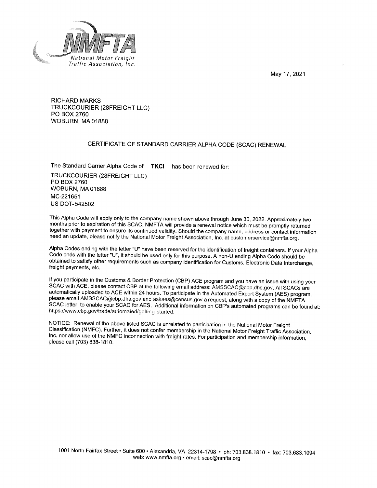May 17, 2021



**RICHARD MARKS** TRUCKCOURIER (28FREIGHT LLC) PO BOX 2760 WOBURN, MA 01888

#### CERTIFICATE OF STANDARD CARRIER ALPHA CODE (SCAC) RENEWAL

The Standard Carrier Alpha Code of TKCI has been renewed for: TRUCKCOURIER (28FREIGHT LLC) PO BOX 2760 **WOBURN, MA 01888** MC-221651 **US DOT-542502** 

This Alpha Code will apply only to the company name shown above through June 30, 2022. Approximately two months prior to expiration of this SCAC, NMFTA will provide a renewal notice which must be promptly returned together with payment to ensure its continued validity. Should the company name, address or contact information need an update, please notify the National Motor Freight Association, Inc. at customerservice@nmfta.org.

Alpha Codes ending with the letter "U" have been reserved for the identification of freight containers. If your Alpha Code ends with the letter "U", it should be used only for this purpose. A non-U ending Alpha Code should be obtained to satisfy other requirements such as company identification for Customs, Electronic Data Interchange, freight payments, etc.

If you participate in the Customs & Border Protection (CBP) ACE program and you have an issue with using your SCAC with ACE, please contact CBP at the following email address: AMSSCAC@cbp.dhs.gov. All SCACs are automatically uploaded to ACE within 24 hours. To participate in the Automated Export System (AES) program, please email AMSSCAC@cbp.dhs.gov and askaes@census.gov a request, along with a copy of the NMFTA SCAC letter, to enable your SCAC for AES. Additional information on CBP's automated programs can be found at: https://www.cbp.gov/trade/automated/getting-started.

NOTICE: Renewal of the above listed SCAC is unrelated to participation in the National Motor Freight Classification (NMFC). Further, it does not confer membership in the National Motor Freight Traffic Association, Inc. nor allow use of the NMFC inconnection with freight rates. For participation and membership information, please call (703) 838-1810.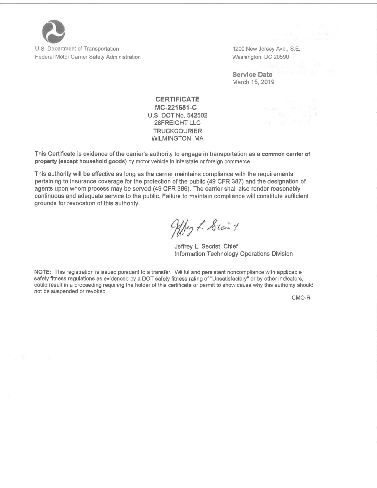

U.S. Department of Transportation **Federal Motor Carrier Safety Administration**  1200 New Jersey Ave., S.E. Washington, DC 20590

**ルート つい** 

Service Date March 15, 2019

**CERTIFICATE** MC-221651-C U.S. DOT No. 542502 **28FREIGHT LLC TRUCKCOURIER WILMINGTON, MA** 

This Certificate is evidence of the carrier's authority to engage in transportation as a common carrier of property (except household goods) by motor vehicle in interstate or foreign commerce.

This authority will be effective as long as the carrier maintains compliance with the requirements pertaining to insurance coverage for the protection of the public (49 CFR 387) and the designation of agents upon whom process may be served (49 CFR 366). The carrier shall also render reasonably continuous and adequate service to the public. Failure to maintain compliance will constitute sufficient grounds for revocation of this authority.

Alby f. Stair +

Jeffrey L. Secrist, Chief Information Technology Operations Division

NOTE: This registration is issued pursuant to a transfer. Willful and persistent noncompliance with applicable safety fitness regulations as evidenced by a DOT safety fitness rating of "Unsatisfactory" or by other indicators, could result in a proceeding requiring the holder of this certificate or permit to show cause why this authority should not be suspended or revoked.

CMO-R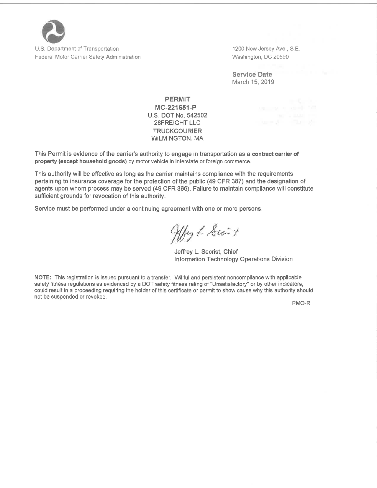

U.S. Department of Transportation Federal Motor Carrier Safety Administration 1200 New Jersey Ave., S.E. Washington, DC 20590

**Service Date** March 15, 2019

#### **PERMIT** MC-221651-P U.S. DOT No. 542502 28FREIGHT LLC **TRUCKCOURIER WILMINGTON, MA**

This Permit is evidence of the carrier's authority to engage in transportation as a contract carrier of property (except household goods) by motor vehicle in interstate or foreign commerce.

This authority will be effective as long as the carrier maintains compliance with the requirements pertaining to insurance coverage for the protection of the public (49 CFR 387) and the designation of agents upon whom process may be served (49 CFR 366). Failure to maintain compliance will constitute sufficient grounds for revocation of this authority.

Service must be performed under a continuing agreement with one or more persons.

Hby f. Sici +

Jeffrey L. Secrist, Chief Information Technology Operations Division

NOTE: This registration is issued pursuant to a transfer. Willful and persistent noncompliance with applicable safety fitness regulations as evidenced by a DOT safety fitness rating of "Unsatisfactory" or by other indicators, could result in a proceeding requiring the holder of this certificate or permit to show cause why this authority should not be suspended or revoked.

PMO-R